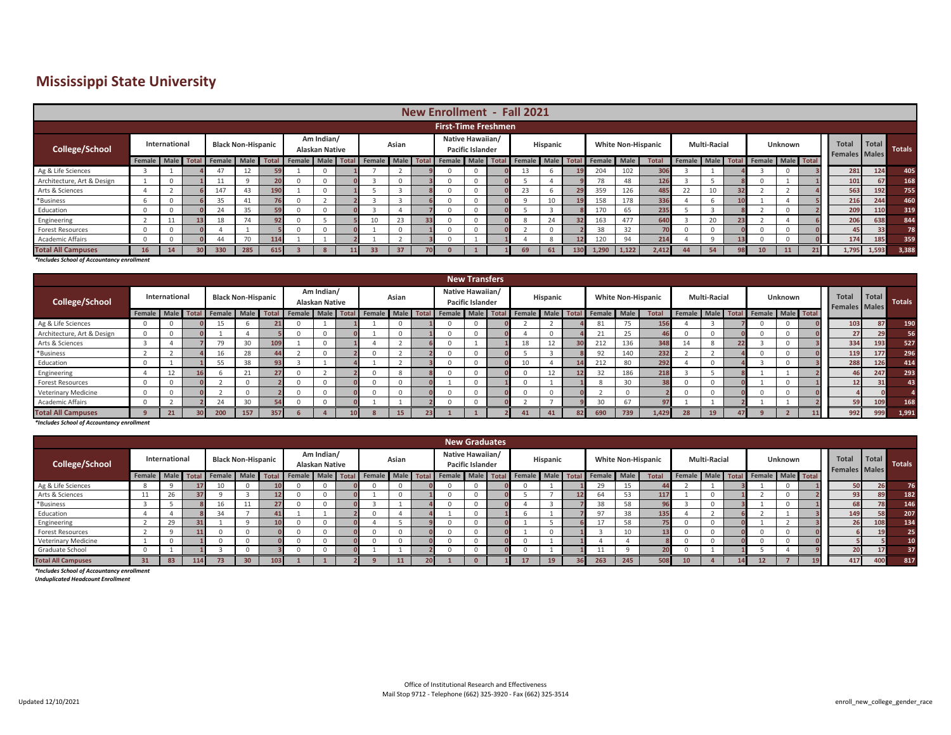## **Mississippi State University**

|                            | <b>New Enrollment - Fall 2021</b> |               |  |                          |                           |                 |                                                                         |  |  |                 |          |    |                                      |              |  |     |                 |        |        |                           |    |                     |                                     |                |  |                                      |       |               |
|----------------------------|-----------------------------------|---------------|--|--------------------------|---------------------------|-----------------|-------------------------------------------------------------------------|--|--|-----------------|----------|----|--------------------------------------|--------------|--|-----|-----------------|--------|--------|---------------------------|----|---------------------|-------------------------------------|----------------|--|--------------------------------------|-------|---------------|
|                            |                                   |               |  |                          |                           |                 |                                                                         |  |  |                 |          |    |                                      |              |  |     |                 |        |        |                           |    |                     |                                     |                |  |                                      |       |               |
| <b>First-Time Freshmen</b> |                                   |               |  |                          |                           |                 |                                                                         |  |  |                 |          |    |                                      |              |  |     |                 |        |        |                           |    |                     |                                     |                |  |                                      |       |               |
| College/School             |                                   | International |  |                          | <b>Black Non-Hispanic</b> |                 | Am Indian/<br>Alaskan Native                                            |  |  | Asian           |          |    | Native Hawaiian/<br>Pacific Islander |              |  |     | <b>Hispanic</b> |        |        | <b>White Non-Hispanic</b> |    | <b>Multi-Racial</b> |                                     | <b>Unknown</b> |  | <b>Total</b><br><b>Females</b> Males | Total | <b>Totals</b> |
|                            |                                   |               |  | Female Male Total Female | <b>Male</b>               | <b>Total</b>    | Female Male Total Female Male Total Female Male Total Female Male Total |  |  |                 |          |    |                                      |              |  |     |                 | Female | - Male | <b>Total</b>              |    |                     | Female Male Total Female Male Total |                |  |                                      |       |               |
| Ag & Life Sciences         |                                   |               |  |                          | 12                        |                 |                                                                         |  |  |                 |          |    |                                      | 0            |  |     |                 | 204    | 102    | 306                       |    |                     |                                     |                |  | 281                                  | 124   | 405           |
| Architecture, Art & Design |                                   |               |  |                          | 9                         |                 |                                                                         |  |  |                 | $\cap$   |    |                                      | 0            |  |     |                 | 78     | 48     | 126                       |    |                     |                                     |                |  | 101                                  | 67    | 168           |
| Arts & Sciences            |                                   |               |  | 147                      | 43                        |                 |                                                                         |  |  |                 |          |    |                                      | 0            |  | 23. |                 | 359    | 126    | 485                       | 22 |                     |                                     |                |  | 563                                  | 192   | 755           |
| *Business                  |                                   |               |  | 35                       | 41                        |                 |                                                                         |  |  |                 |          |    |                                      | $\mathbf{0}$ |  |     |                 | 158    | 178    | 336                       |    | b                   |                                     |                |  | 216                                  | 244   | 460           |
| Education                  |                                   |               |  | 24                       | 35                        |                 |                                                                         |  |  |                 |          |    |                                      | $\Omega$     |  |     |                 | 170    | 65     | 235                       |    |                     |                                     |                |  | 209                                  | 110   | 319           |
| Engineering                |                                   |               |  | 18                       | 74                        | 92 <sub>1</sub> |                                                                         |  |  | 10 <sup>1</sup> | 23       | 33 |                                      | $\Omega$     |  |     |                 | 163    | 477    | 640                       |    | 20                  |                                     |                |  | 206                                  | 638   | 844           |
| <b>Forest Resources</b>    |                                   | $\Omega$      |  |                          |                           |                 |                                                                         |  |  |                 | $\Omega$ |    |                                      | $\mathbf{0}$ |  |     |                 | 38     | 32     | 70                        |    | 0                   |                                     |                |  | 45                                   | 33    | 78            |
| Academic Affairs           |                                   |               |  | 44                       | 70                        |                 |                                                                         |  |  |                 |          |    |                                      |              |  |     |                 | 120    | 94     | 214                       |    | $\Omega$            |                                     |                |  | 174                                  | 185   | 359           |
| <b>Total All Campuses</b>  |                                   | 14            |  | 330                      | 285                       |                 |                                                                         |  |  | 33              | 37       |    |                                      |              |  | 69  |                 | 1,290  | 1,122  | 2.412                     | 44 | 54                  |                                     |                |  | 1,795                                | 1,593 | 3,388         |

*\*Includes School of Accountancy enrollment*

| <b>New Transfers</b>       |        |               |  |                           |          |            |                                     |  |  |       |    |  |                                             |  |  |                                                                                |    |  |     |      |                           |    |                     |                                     |         |  |                                      |       |        |
|----------------------------|--------|---------------|--|---------------------------|----------|------------|-------------------------------------|--|--|-------|----|--|---------------------------------------------|--|--|--------------------------------------------------------------------------------|----|--|-----|------|---------------------------|----|---------------------|-------------------------------------|---------|--|--------------------------------------|-------|--------|
| College/School             |        | International |  | <b>Black Non-Hispanic</b> |          |            | Am Indian/<br><b>Alaskan Native</b> |  |  | Asian |    |  | Native Hawaiian/<br><b>Pacific Islander</b> |  |  | Hispanic                                                                       |    |  |     |      | <b>White Non-Hispanic</b> |    | <b>Multi-Racial</b> |                                     | Unknown |  | <b>Total</b><br><b>Females</b> Males | Total | Totals |
|                            | Female |               |  | Male Total Female         |          | Male Total |                                     |  |  |       |    |  |                                             |  |  | Female Male Total Female Male Total Female Male Total Female Male Total Female |    |  |     | Male | <b>Total</b>              |    |                     | Female Male Total Female Male Total |         |  |                                      |       |        |
| Ag & Life Sciences         |        |               |  |                           |          |            |                                     |  |  |       |    |  |                                             |  |  |                                                                                |    |  | 81  | 75   | 156                       |    |                     |                                     |         |  | 103                                  | 87    | 190    |
| Architecture, Art & Design |        |               |  |                           |          |            |                                     |  |  |       |    |  |                                             |  |  |                                                                                |    |  |     | 25   |                           |    |                     |                                     |         |  | 27                                   |       | 56     |
| Arts & Sciences            |        |               |  | 70                        | 30       |            |                                     |  |  |       |    |  |                                             |  |  |                                                                                |    |  | 212 | 136  | 348                       |    |                     |                                     |         |  | 334                                  | 193   | 527    |
| *Business                  |        |               |  | 16.                       | 28       |            |                                     |  |  |       |    |  |                                             |  |  |                                                                                |    |  | 92  | 140  | 232                       |    |                     |                                     |         |  | 119                                  | 177   | 296    |
| Education                  |        |               |  | 55                        | 38       |            |                                     |  |  |       |    |  |                                             |  |  |                                                                                |    |  | 212 | 80   | 292                       |    |                     |                                     |         |  | 288                                  | 126   | 414    |
| Engineering                |        | 12            |  |                           | 21       |            |                                     |  |  |       |    |  |                                             |  |  |                                                                                |    |  |     | 186  | 218                       |    |                     |                                     |         |  | 46                                   | 247   | 293    |
| <b>Forest Resources</b>    |        |               |  |                           | $\Omega$ |            |                                     |  |  |       |    |  |                                             |  |  |                                                                                |    |  |     | 30   | 38                        |    |                     |                                     |         |  | 12                                   |       |        |
| <b>Veterinary Medicine</b> |        |               |  |                           | $\Omega$ |            |                                     |  |  |       |    |  |                                             |  |  |                                                                                |    |  |     |      |                           |    |                     |                                     |         |  |                                      |       |        |
| <b>Academic Affairs</b>    |        |               |  |                           | 30       |            |                                     |  |  |       |    |  |                                             |  |  |                                                                                |    |  | 30  | 67   | 97                        |    |                     |                                     |         |  | 59                                   |       | 168    |
| <b>Total All Campuses</b>  |        |               |  | 200                       | 157      | 357        |                                     |  |  |       | 15 |  |                                             |  |  |                                                                                | 41 |  | 690 | 739  | .429                      | 28 |                     |                                     |         |  | 992                                  | 999   | 1,991  |

*\*Includes School of Accountancy enrollment*

|                            | <b>New Graduates</b> |               |  |                          |                           |            |  |                              |  |                                                                                |       |  |  |                                             |  |  |          |  |     |        |                           |                                     |                     |  |         |                                      |       |               |
|----------------------------|----------------------|---------------|--|--------------------------|---------------------------|------------|--|------------------------------|--|--------------------------------------------------------------------------------|-------|--|--|---------------------------------------------|--|--|----------|--|-----|--------|---------------------------|-------------------------------------|---------------------|--|---------|--------------------------------------|-------|---------------|
| College/School             |                      | International |  |                          | <b>Black Non-Hispanic</b> |            |  | Am Indian/<br>Alaskan Native |  |                                                                                | Asian |  |  | Native Hawaiian/<br><b>Pacific Islander</b> |  |  | Hispanic |  |     |        | <b>White Non-Hispanic</b> |                                     | <b>Multi-Racial</b> |  | Unknown | <b>Total</b><br><b>Females</b> Males | Total | <b>Totals</b> |
|                            |                      |               |  | Female Male Total Female |                           | Male Total |  |                              |  | Female Male Total Female Male Total Female Male Total Female Male Total Female |       |  |  |                                             |  |  |          |  |     | " Male | <b>Total</b>              | Female Male Total Female Male Total |                     |  |         |                                      |       |               |
| Ag & Life Sciences         |                      |               |  |                          |                           |            |  |                              |  |                                                                                |       |  |  |                                             |  |  |          |  |     | 15     |                           |                                     |                     |  |         | 50                                   |       | 76            |
| Arts & Sciences            | ᆠ                    | $\sim$<br>Zb. |  |                          |                           |            |  |                              |  |                                                                                |       |  |  |                                             |  |  |          |  | 64  | 53     | 117                       |                                     |                     |  |         | 93                                   |       | 182           |
| *Business                  |                      |               |  |                          |                           |            |  |                              |  |                                                                                |       |  |  |                                             |  |  |          |  | 38  | 58     | Qf                        |                                     |                     |  |         | 68                                   |       | 146           |
| Education                  |                      |               |  | 34                       |                           |            |  |                              |  |                                                                                |       |  |  |                                             |  |  |          |  |     | 38     | 135                       |                                     |                     |  |         | 149                                  |       | 207           |
| Engineering                |                      | $\mathcal{L}$ |  |                          | $\sim$                    |            |  |                              |  |                                                                                |       |  |  |                                             |  |  |          |  |     | 58     |                           |                                     |                     |  |         | 26                                   |       | 134           |
| <b>Forest Resources</b>    |                      |               |  |                          | $\Omega$                  |            |  |                              |  |                                                                                |       |  |  |                                             |  |  |          |  |     | 10     |                           |                                     |                     |  |         |                                      |       | 25            |
| <b>Veterinary Medicine</b> |                      |               |  |                          | $\Omega$                  |            |  |                              |  |                                                                                |       |  |  |                                             |  |  |          |  |     |        |                           |                                     |                     |  |         |                                      |       | 10            |
| Graduate School            |                      |               |  |                          | $\Omega$                  |            |  |                              |  |                                                                                |       |  |  |                                             |  |  |          |  |     |        |                           |                                     |                     |  |         | 20                                   |       | 37            |
| <b>Total All Campuses</b>  |                      | 83            |  | 73                       | 30                        |            |  |                              |  |                                                                                |       |  |  |                                             |  |  |          |  | 263 | 245    | 508                       |                                     |                     |  |         | 417                                  | 400   | 817           |

*\*Includes School of Accountancy enrollment*

*Unduplicated Headcount Enrollment*